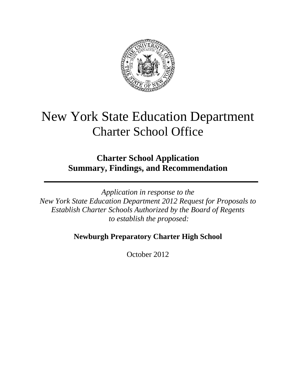

# New York State Education Department Charter School Office

## **Charter School Application Summary, Findings, and Recommendation**

*Application in response to the New York State Education Department 2012 Request for Proposals to Establish Charter Schools Authorized by the Board of Regents to establish the proposed:* 

### **Newburgh Preparatory Charter High School**

October 2012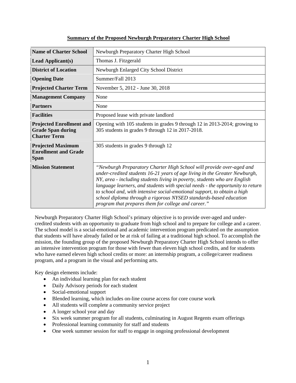| <b>Name of Charter School</b>                                                      | Newburgh Preparatory Charter High School                                                                                                                                                                                                                                                                                                                                                                                                                                                                                  |  |  |  |
|------------------------------------------------------------------------------------|---------------------------------------------------------------------------------------------------------------------------------------------------------------------------------------------------------------------------------------------------------------------------------------------------------------------------------------------------------------------------------------------------------------------------------------------------------------------------------------------------------------------------|--|--|--|
| <b>Lead Applicant(s)</b>                                                           | Thomas J. Fitzgerald                                                                                                                                                                                                                                                                                                                                                                                                                                                                                                      |  |  |  |
| <b>District of Location</b>                                                        | Newburgh Enlarged City School District                                                                                                                                                                                                                                                                                                                                                                                                                                                                                    |  |  |  |
| <b>Opening Date</b>                                                                | Summer/Fall 2013                                                                                                                                                                                                                                                                                                                                                                                                                                                                                                          |  |  |  |
| <b>Projected Charter Term</b>                                                      | November 5, 2012 - June 30, 2018                                                                                                                                                                                                                                                                                                                                                                                                                                                                                          |  |  |  |
| <b>Management Company</b>                                                          | None                                                                                                                                                                                                                                                                                                                                                                                                                                                                                                                      |  |  |  |
| <b>Partners</b>                                                                    | None                                                                                                                                                                                                                                                                                                                                                                                                                                                                                                                      |  |  |  |
| <b>Facilities</b>                                                                  | Proposed lease with private landlord                                                                                                                                                                                                                                                                                                                                                                                                                                                                                      |  |  |  |
| <b>Projected Enrollment and</b><br><b>Grade Span during</b><br><b>Charter Term</b> | Opening with 105 students in grades 9 through 12 in 2013-2014; growing to<br>305 students in grades 9 through 12 in 2017-2018.                                                                                                                                                                                                                                                                                                                                                                                            |  |  |  |
| <b>Projected Maximum</b><br><b>Enrollment and Grade</b><br><b>Span</b>             | 305 students in grades 9 through 12                                                                                                                                                                                                                                                                                                                                                                                                                                                                                       |  |  |  |
| <b>Mission Statement</b>                                                           | "Newburgh Preparatory Charter High School will provide over-aged and<br>under-credited students 16-21 years of age living in the Greater Newburgh,<br>NY, area - including students living in poverty, students who are English<br>language learners, and students with special needs - the opportunity to return<br>to school and, with intensive social-emotional support, to obtain a high<br>school diploma through a rigorous NYSED standards-based education<br>program that prepares them for college and career." |  |  |  |

### **Summary of the Proposed Newburgh Preparatory Charter High School**

Newburgh Preparatory Charter High School's primary objective is to provide over-aged and undercredited students with an opportunity to graduate from high school and to prepare for college and a career. The school model is a social-emotional and academic intervention program predicated on the assumption that students will have already failed or be at risk of failing at a traditional high school. To accomplish the mission, the founding group of the proposed Newburgh Preparatory Charter High School intends to offer an intensive intervention program for those with fewer than eleven high school credits, and for students who have earned eleven high school credits or more: an internship program, a college/career readiness program, and a program in the visual and performing arts.

Key design elements include:

- An individual learning plan for each student
- Daily Advisory periods for each student
- Social-emotional support
- Blended learning, which includes on-line course access for core course work
- All students will complete a community service project
- A longer school year and day
- Six week summer program for all students, culminating in August Regents exam offerings
- Professional learning community for staff and students
- One week summer session for staff to engage in ongoing professional development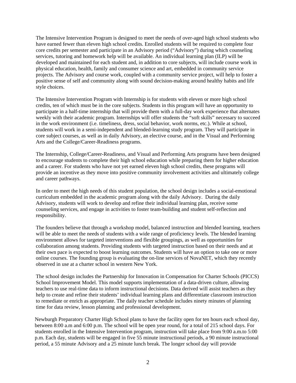The Intensive Intervention Program is designed to meet the needs of over-aged high school students who have earned fewer than eleven high school credits. Enrolled students will be required to complete four core credits per semester and participate in an Advisory period ("Advisory") during which counseling services, tutoring and homework help will be available. An individual learning plan (ILP) will be developed and maintained for each student and, in addition to core subjects, will include course work in physical education, health, family and consumer science and art, embedded in community service projects. The Advisory and course work, coupled with a community service project, will help to foster a positive sense of self and community along with sound decision-making around healthy habits and life style choices.

The Intensive Intervention Program with Internship is for students with eleven or more high school credits, ten of which must be in the core subjects. Students in this program will have an opportunity to participate in a half-time internship that will provide them with a full-day work experience that alternates weekly with their academic program. Internships will offer students the "soft skills" necessary to succeed in the work environment (i.e. timeliness, dress, social behavior, work norms, etc.). While at school, students will work in a semi-independent and blended-learning study program. They will participate in core subject courses, as well as in daily Advisory, an elective course, and in the Visual and Performing Arts and the College/Career-Readiness programs.

The Internship, College/Career-Readiness, and Visual and Performing Arts programs have been designed to encourage students to complete their high school education while preparing them for higher education and a career. For students who have not yet earned eleven high school credits, these programs will provide an incentive as they move into positive community involvement activities and ultimately college and career pathways.

In order to meet the high needs of this student population, the school design includes a social-emotional curriculum embedded in the academic program along with the daily Advisory. During the daily Advisory, students will work to develop and refine their individual learning plan, receive some counseling services, and engage in activities to foster team-building and student self-reflection and responsibility.

The founders believe that through a workshop model, balanced instruction and blended learning, teachers will be able to meet the needs of students with a wide range of proficiency levels. The blended learning environment allows for targeted interventions and flexible groupings, as well as opportunities for collaboration among students. Providing students with targeted instruction based on their needs and at their own pace is expected to boost learning outcomes. Students will have an option to take one or more online courses. The founding group is evaluating the on-line services of NovaNET, which they recently observed in use at a charter school in western New York.

The school design includes the Partnership for Innovation in Compensation for Charter Schools (PICCS) School Improvement Model. This model supports implementation of a data-driven culture, allowing teachers to use real-time data to inform instructional decisions. Data derived will assist teachers as they help to create and refine their students' individual learning plans and differentiate classroom instruction to remediate or enrich as appropriate. The daily teacher schedule includes ninety minutes of planning time for data review, lesson planning and professional development.

Newburgh Preparatory Charter High School plans to have the facility open for ten hours each school day, between 8:00 a.m and 6:00 p.m. The school will be open year round, for a total of 215 school days. For students enrolled in the Intensive Intervention program, instruction will take place from 9:00 a.m.to 5:00 p.m. Each day, students will be engaged in five 55 minute instructional periods, a 90 minute instructional period, a 55 minute Advisory and a 25 minute lunch break. The longer school day will provide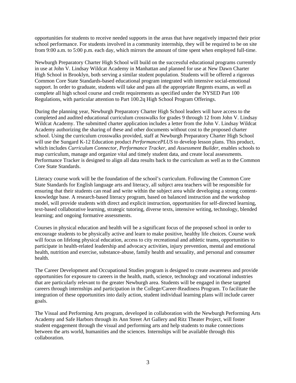opportunities for students to receive needed supports in the areas that have negatively impacted their prior school performance. For students involved in a community internship, they will be required to be on site from 9:00 a.m. to 5:00 p.m. each day, which mirrors the amount of time spent when employed full-time.

Newburgh Preparatory Charter High School will build on the successful educational programs currently in use at John V. Lindsay Wildcat Academy in Manhattan and planned for use at New Dawn Charter High School in Brooklyn, both serving a similar student population. Students will be offered a rigorous Common Core State Standards-based educational program integrated with intensive social-emotional support. In order to graduate, students will take and pass all the appropriate Regents exams, as well as complete all high school course and credit requirements as specified under the NYSED Part 100 Regulations, with particular attention to Part 100.2q High School Program Offerings.

During the planning year, Newburgh Preparatory Charter High School leaders will have access to the completed and audited educational curriculum crosswalks for grades 9 through 12 from John V. Lindsay Wildcat Academy. The submitted charter application includes a letter from the John V. Lindsay Wildcat Academy authorizing the sharing of these and other documents without cost to the proposed charter school. Using the curriculum crosswalks provided, staff at Newburgh Preparatory Charter High School will use the Sungard K-12 Education product *PerformancePLUS* to develop lesson plans. This product, which includes *Curriculum Connector*, *Performance Tracker*, and *Assessment Builder*, enables schools to map curriculum, manage and organize vital and timely student data, and create local assessments. Performance Tracker is designed to align all data results back to the curriculum as well as to the Common Core State Standards.

Literacy course work will be the foundation of the school's curriculum. Following the Common Core State Standards for English language arts and literacy, all subject area teachers will be responsible for ensuring that their students can read and write within the subject area while developing a strong contentknowledge base. A research-based literacy program, based on balanced instruction and the workshop model, will provide students with direct and explicit instruction, opportunities for self-directed learning, text-based collaborative learning, strategic tutoring, diverse texts, intensive writing, technology, blended learning; and ongoing formative assessments.

Courses in physical education and health will be a significant focus of the proposed school in order to encourage students to be physically active and learn to make positive, healthy life choices. Course work will focus on lifelong physical education, access to city recreational and athletic teams, opportunities to participate in health-related leadership and advocacy activities, injury prevention, mental and emotional health, nutrition and exercise, substance-abuse, family health and sexuality, and personal and consumer health.

The Career Development and Occupational Studies program is designed to create awareness and provide opportunities for exposure to careers in the health, math, science, technology and vocational industries that are particularly relevant to the greater Newburgh area. Students will be engaged in these targeted careers through internships and participation in the College/Career-Readiness Program. To facilitate the integration of these opportunities into daily action, student individual learning plans will include career goals.

The Visual and Performing Arts program, developed in collaboration with the Newburgh Performing Arts Academy and Safe Harbors through its Ann Street Art Gallery and Ritz Theater Project, will foster student engagement through the visual and performing arts and help students to make connections between the arts world, humanities and the sciences. Internships will be available through this collaboration.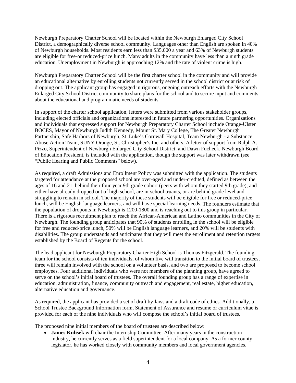Newburgh Preparatory Charter School will be located within the Newburgh Enlarged City School District, a demographically diverse school community. Languages other than English are spoken in 40% of Newburgh households. Most residents earn less than \$35,000 a year and 63% of Newburgh students are eligible for free-or reduced-price lunch. Many adults in the community have less than a ninth grade education. Unemployment in Newburgh is approaching 12% and the rate of violent crime is high.

Newburgh Preparatory Charter School will be the first charter school in the community and will provide an educational alternative by enrolling students not currently served in the school district or at risk of dropping out. The applicant group has engaged in rigorous, ongoing outreach efforts with the Newburgh Enlarged City School District community to share plans for the school and to secure input and comments about the educational and programmatic needs of students.

In support of the charter school application, letters were submitted from various stakeholder groups, including elected officials and organizations interested in future partnering opportunities. Organizations and individuals that expressed support for Newburgh Preparatory Charter School include Orange-Ulster BOCES, Mayor of Newburgh Judith Kennedy, Mount St. Mary College, The Greater Newburgh Partnership, Safe Harbors of Newburgh, St. Luke's Cornwall Hospital, Team Newburgh - a Substance Abuse Action Team, SUNY Orange, St. Christopher's Inc. and others. A letter of support from Ralph A. Pizzo, Superintendent of Newburgh Enlarged City School District, and Dawn Fucheck, Newburgh Board of Education President, is included with the application, though the support was later withdrawn (see "Public Hearing and Public Comments" below).

As required, a draft Admissions and Enrollment Policy was submitted with the application. The students targeted for attendance at the proposed school are over-aged and under-credited, defined as between the ages of 16 and 21, behind their four-year 9th grade cohort (peers with whom they started 9th grade), and either have already dropped out of high school, are in-school truants, or are behind grade level and struggling to remain in school. The majority of these students will be eligible for free or reduced-price lunch, will be English-language learners, and will have special learning needs. The founders estimate that the population of dropouts in Newburgh is 1200-1800 and is reaching out to this group in particular. There is a rigorous recruitment plan to reach the African-American and Latino communities in the City of Newburgh. The founding group anticipates that 90% of students enrolling in the school will be eligible for free and reduced-price lunch, 50% will be English language learners, and 20% will be students with disabilities. The group understands and anticipates that they will meet the enrollment and retention targets established by the Board of Regents for the school.

The lead applicant for Newburgh Preparatory Charter High School is Thomas Fitzgerald. The founding team for the school consists of ten individuals, of whom five will transition to the initial board of trustees, three will remain involved with the school on a volunteer basis, and two are proposed to become school employees. Four additional individuals who were not members of the planning group, have agreed to serve on the school's initial board of trustees. The overall founding group has a range of expertise in education, administration, finance, community outreach and engagement, real estate, higher education, alternative education and governance.

As required, the applicant has provided a set of draft by-laws and a draft code of ethics. Additionally, a School Trustee Background Information form, Statement of Assurance and resume or curriculum vitae is provided for each of the nine individuals who will compose the school's initial board of trustees.

The proposed nine initial members of the board of trustees are described below:

• **James Kulisek** will chair the Internship Committee. After many years in the construction industry, he currently serves as a field superintendent for a local company. As a former county legislator, he has worked closely with community members and local government agencies.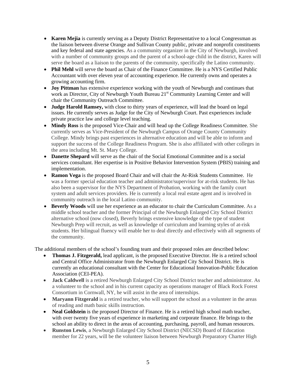- **Karen Mejia** is currently serving as a Deputy District Representative to a local Congressman as the liaison between diverse Orange and Sullivan County public, private and nonprofit constituents and key federal and state agencies. As a community organizer in the City of Newburgh, involved with a number of community groups and the parent of a school-age child in the district, Karen will serve the board as a liaison to the parents of the community, specifically the Latino community.
- Phil Mehl will serve the board as Chair of the Finance Committee. He is a NYS Certified Public Accountant with over eleven year of accounting experience. He currently owns and operates a growing accounting firm.
- **Joy Pittman** has extensive experience working with the youth of Newburgh and continues that work as Director, City of Newburgh Youth Bureau 21<sup>st</sup> Community Learning Center and will chair the Community Outreach Committee.
- **Judge Harold Ramsey,** with close to thirty years of experience, will lead the board on legal issues. He currently serves as Judge for the City of Newburgh Court. Past experiences include private practice law and college level teaching.
- Mindy Ross is the proposed Vice-Chair and will head up the College Readiness Committee. She currently serves as Vice-President of the Newburgh Campus of Orange County Community College. Mindy brings past experiences in alternative education and will be able to inform and support the success of the College Readiness Program. She is also affiliated with other colleges in the area including Mt. St. Mary College.
- **Danette Shepard** will serve as the chair of the Social Emotional Committee and is a social services consultant. Her expertise is in Positive Behavior Intervention System (PBIS) training and implementation.
- **Ramon Vega** is the proposed Board Chair and will chair the At-Risk Students Committee.He was a former special education teacher and administrator/supervisor for at-risk students. He has also been a supervisor for the NYS Department of Probation, working with the family court system and adult services providers. He is currently a local real estate agent and is involved in community outreach in the local Latino community.
- **Beverly Woods** will use her experience as an educator to chair the Curriculum Committee. As a middle school teacher and the former Principal of the Newburgh Enlarged City School District alternative school (now closed), Beverly brings extensive knowledge of the type of student Newburgh Prep will recruit, as well as knowledge of curriculum and learning styles of at-risk students. Her bilingual fluency will enable her to deal directly and effectively with all segments of the community.

The additional members of the school's founding team and their proposed roles are described below:

- **Thomas J. Fitzgerald,** lead applicant, is the proposed Executive Director. He is a retired school and Central Office Administrator from the Newburgh Enlarged City School District. He is currently an educational consultant with the Center for Educational Innovation-Public Education Association (CEI-PEA).
- **Jack Caldwell** is a retired Newburgh Enlarged City School District teacher and administrator. As a volunteer to the school and in his current capacity as operations manager of Black Rock Forest Consortium in Cornwall, NY, he will assist in the area of internships.
- Maryann Fitzgerald is a retired teacher, who will support the school as a volunteer in the areas of reading and math basic skills instruction.
- **Neal Goldstein** is the proposed Director of Finance. He is a retired high school math teacher, with over twenty five years of experience in marketing and corporate finance. He brings to the school an ability to direct in the areas of accounting, purchasing, payroll, and human resources.
- **Runston Lewis**, a Newburgh Enlarged City School District (NECSD) Board of Education member for 22 years, will be the volunteer liaison between Newburgh Preparatory Charter High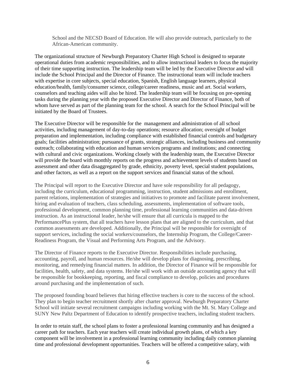School and the NECSD Board of Education. He will also provide outreach, particularly to the African-American community.

The organizational structure of Newburgh Preparatory Charter High School is designed to separate operational duties from academic responsibilities, and to allow instructional leaders to focus the majority of their time supporting instruction. The leadership team will be led by the Executive Director and will include the School Principal and the Director of Finance. The instructional team will include teachers with expertise in core subjects, special education, Spanish, English language learners, physical education/health, family/consumer science, college/career readiness, music and art. Social workers, counselors and teaching aides will also be hired. The leadership team will be focusing on pre-opening tasks during the planning year with the proposed Executive Director and Director of Finance, both of whom have served as part of the planning team for the school. A search for the School Principal will be initiated by the Board of Trustees.

The Executive Director will be responsible for the management and administration of all school activities, including management of day-to-day operations; resource allocation; oversight of budget preparation and implementation, including compliance with established financial controls and budgetary goals; facilities administration; pursuance of grants, strategic alliances, including business and community outreach; collaborating with education and human services programs and institutions; and connecting with cultural and civic organizations. Working closely with the leadership team, the Executive Director will provide the board with monthly reports on the progress and achievement levels of students based on assessment and other data disaggregated by grade, ethnicity, poverty level, special student populations, and other factors, as well as a report on the support services and financial status of the school.

The Principal will report to the Executive Director and have sole responsibility for all pedagogy, including the curriculum, educational programming, instruction, student admissions and enrollment, parent relations, implementation of strategies and initiatives to promote and facilitate parent involvement, hiring and evaluation of teachers, class scheduling, assessments, implementation of software tools, professional development, common planning time, professional learning communities and data-driven instruction. As an instructional leader, he/she will ensure that all curricula is mapped to the PerformancePlus system, that all teachers have lesson plans that are aligned to the curriculum, and that common assessments are developed. Additionally, the Principal will be responsible for oversight of support services, including the social workers/counselors, the Internship Program, the College/Career-Readiness Program, the Visual and Performing Arts Program, and the Advisory.

The Director of Finance reports to the Executive Director. Responsibilities include purchasing, accounting, payroll, and human resources. He/she will develop plans for diagnosing, prescribing, monitoring, and remedying financial matters. In addition, the Director of Finance will be responsible for facilities, health, safety, and data systems. He/she will work with an outside accounting agency that will be responsible for bookkeeping, reporting, and fiscal compliance to develop, policies and procedures around purchasing and the implementation of such.

The proposed founding board believes that hiring effective teachers is core to the success of the school. They plan to begin teacher recruitment shortly after charter approval. Newburgh Preparatory Charter School will initiate several recruitment campaigns including working with the Mt. St. Mary College and SUNY New Paltz Department of Education to identify prospective teachers, including student teachers.

In order to retain staff, the school plans to foster a professional learning community and has designed a career path for teachers. Each year teachers will create individual growth plans, of which a key component will be involvement in a professional learning community including daily common planning time and professional development opportunities. Teachers will be offered a competitive salary, with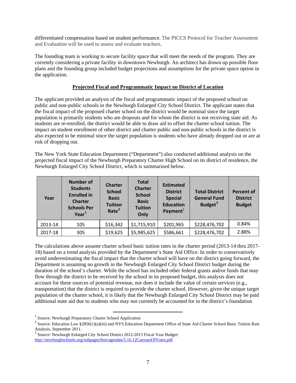differentiated compensation based on student performance. The PICCS Protocol for Teacher Assessment and Evaluation will be used to assess and evaluate teachers.

The founding team is working to secure facility space that will meet the needs of the program. They are currently considering a private facility in downtown Newburgh. An architect has drawn up possible floor plans and the founding group included budget projections and assumptions for the private space option in the application.

#### **Projected Fiscal and Programmatic Impact on District of Location**

The applicant provided an analysis of the fiscal and programmatic impact of the proposed school on public and non-public schools in the Newburgh Enlarged City School District. The applicant states that the fiscal impact of the proposed charter school on the district would be nominal since the target population is primarily students who are dropouts and for whom the district is not receiving state aid. As students are re-enrolled, the district would be able to draw aid to offset the charter school tuition. The impact on student enrollment of other district and charter public and non-public schools in the district is also expected to be minimal since the target population is students who have already dropped out or are at risk of dropping out.

The New York State Education Department ("Department") also conducted additional analysis on the projected fiscal impact of the Newburgh Preparatory Charter High School on its district of residence, the Newburgh Enlarged City School District, which is summarized below.

| Year    | <b>Number of</b><br><b>Students</b><br><b>Enrolled in</b><br><b>Charter</b><br><b>Schools Per</b><br>Year <sup>1</sup> | <b>Charter</b><br><b>School</b><br><b>Basic</b><br><b>Tuition</b><br>Rate <sup>2</sup> | <b>Total</b><br><b>Charter</b><br><b>School</b><br><b>Basic</b><br><b>Tuition</b><br>Only | <b>Estimated</b><br><b>District</b><br><b>Special</b><br><b>Education</b><br>Payment $1$ | <b>Total District</b><br><b>General Fund</b><br>Budget <sup>3</sup> | <b>Percent of</b><br><b>District</b><br><b>Budget</b> |
|---------|------------------------------------------------------------------------------------------------------------------------|----------------------------------------------------------------------------------------|-------------------------------------------------------------------------------------------|------------------------------------------------------------------------------------------|---------------------------------------------------------------------|-------------------------------------------------------|
| 2013-14 | 105                                                                                                                    | \$16,342                                                                               | \$1,715,910                                                                               | \$201,965                                                                                | \$228,476,702                                                       | 0.84%                                                 |
| 2017-18 | 305                                                                                                                    | \$19,625                                                                               | \$5,985,625                                                                               | \$586,661                                                                                | \$228,476,702                                                       | 2.88%                                                 |

The calculations above assume charter school basic tuition rates in the charter period (2013-14 thru 2017- 18) based on a trend analysis provided by the Department's State Aid Office. In order to conservatively avoid underestimating the fiscal impact that the charter school will have on the district going forward, the Department is assuming no growth in the Newburgh Enlarged City School District budget during the duration of the school's charter. While the school has included other federal grants and/or funds that may flow through the district to be received by the school in its proposed budget, this analysis does not account for these sources of potential revenue, nor does it include the value of certain services (e.g., transportation) that the district is required to provide the charter school. However, given the unique target population of the charter school, it is likely that the Newburgh Enlarged City School District may be paid additional state aid due to students who may not currently be accounted for in the district's foundation

 <sup>1</sup> Source: Newburgh Preparatory Charter School Application

<span id="page-7-1"></span><span id="page-7-0"></span><sup>&</sup>lt;sup>2</sup> Source: Education Law §2856(1)(a)(iii) and NYS Education Department Office of State Aid Charter School Basic Tuition Rate Analysis, September 2011.<br><sup>3</sup> Source: Newburgh Enlarged City School District 2012-2013 Fiscal Year Budget:

<span id="page-7-2"></span><http://newburghschools.org/subpages/boe/agendas/5.16.12CanvassOfVotes.pdf>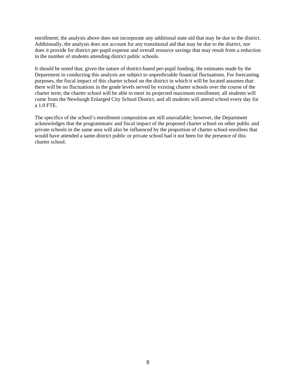enrollment; the analysis above does not incorporate any additional state aid that may be due to the district. Additionally, the analysis does not account for any transitional aid that may be due to the district, nor does it provide for district per-pupil expense and overall resource savings that may result from a reduction in the number of students attending district public schools.

It should be noted that, given the nature of district-based per-pupil funding, the estimates made by the Department in conducting this analysis are subject to unpredictable financial fluctuations. For forecasting purposes, the fiscal impact of this charter school on the district in which it will be located assumes that: there will be no fluctuations in the grade levels served by existing charter schools over the course of the charter term; the charter school will be able to meet its projected maximum enrollment; all students will come from the Newburgh Enlarged City School District, and all students will attend school every day for a 1.0 FTE.

The specifics of the school's enrollment composition are still unavailable; however, the Department acknowledges that the programmatic and fiscal impact of the proposed charter school on other public and private schools in the same area will also be influenced by the proportion of charter school enrollees that would have attended a same-district public or private school had it not been for the presence of this charter school.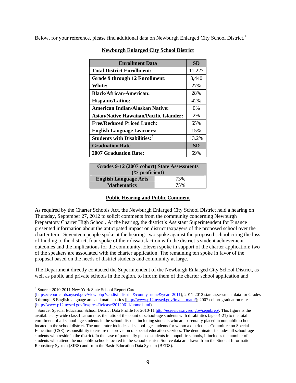Below, for your reference, please find additional data on Newburgh Enlarged City School District.<sup>[4](#page-9-0)</sup>

| <b>Enrollment Data</b>                          | <b>SD</b> |
|-------------------------------------------------|-----------|
| <b>Total District Enrollment:</b>               | 11,227    |
| <b>Grade 9 through 12 Enrollment:</b>           | 3,440     |
| <b>White:</b>                                   | 27%       |
| <b>Black/African-American:</b>                  | 28%       |
| <b>Hispanic/Latino:</b>                         | 42%       |
| American Indian/Alaskan Native:                 | $0\%$     |
| <b>Asian/Native Hawaiian/Pacific Islander:</b>  | 2%        |
| <b>Free/Reduced Priced Lunch:</b>               | 65%       |
| <b>English Language Learners:</b>               | 15%       |
| <b>Students with Disabilities:</b> <sup>5</sup> | 13.2%     |
| <b>Graduation Rate</b>                          | <b>SD</b> |
| <b>2007 Graduation Rate:</b>                    | 69%       |

#### **Newburgh Enlarged City School District**

| Grades 9-12 (2007 cohort) State Assessments |     |  |  |  |  |
|---------------------------------------------|-----|--|--|--|--|
| $\frac{6}{6}$ proficient)                   |     |  |  |  |  |
| <b>English Language Arts</b>                | 73% |  |  |  |  |
| <b>Mathematics</b>                          | 75% |  |  |  |  |

#### **Public Hearing and Public Comment**

As required by the Charter Schools Act, the Newburgh Enlarged City School District held a hearing on Thursday, September 27, 2012 to solicit comments from the community concerning Newburgh Preparatory Charter High School. At the hearing, the district's Assistant Superintendent for Finance presented information about the anticipated impact on district taxpayers of the proposed school over the charter term. Seventeen people spoke at the hearing: two spoke against the proposed school citing the loss of funding to the district, four spoke of their dissatisfaction with the district's student achievement outcomes and the implications for the community. Eleven spoke in support of the charter application; two of the speakers are associated with the charter application. The remaining ten spoke in favor of the proposal based on the needs of district students and community at large.

The Department directly contacted the Superintendent of the Newburgh Enlarged City School District, as well as public and private schools in the region, to inform them of the charter school application and

 <sup>4</sup> Source: 2010-2011 New York State School Report Card

<span id="page-9-0"></span><sup>(</sup>[https://reportcards.nysed.gov/view.php?schdist=district&county=none&year=2011\)](https://reportcards.nysed.gov/view.php?schdist=district&county=none&year=2011); 2011-2012 state assessment data for Grades 3 through 8 English language arts and mathematics [\(http://www.p12.nysed.gov/irs/ela-math/](http://www.p12.nysed.gov/irs/ela-math/)); 2007 cohort graduation rates [\(http://www.p12.nysed.gov/irs/pressRelease/20120611/home.html\)](http://www.p12.nysed.gov/irs/pressRelease/20120611/home.html).

<span id="page-9-1"></span><sup>&</sup>lt;sup>5</sup> Source: Special Education School District Data Profile for 2010-11<http://eservices.nysed.gov/sepubrep/>. This figure is the available city-wide classification rate: the ratio of the count of school-age students with disabilities (ages 4-21) to the total enrollment of all school-age students in the school district, including students who are parentally placed in nonpublic schools located in the school district. The numerator includes all school-age students for whom a district has Committee on Special Education (CSE) responsibility to ensure the provision of special education services. The denominator includes all school-age students who reside in the district. In the case of parentally placed students in nonpublic schools, it includes the number of students who attend the nonpublic schools located in the school district. Source data are drawn from the Student Information Repository System (SIRS) and from the Basic Education Data System (BEDS).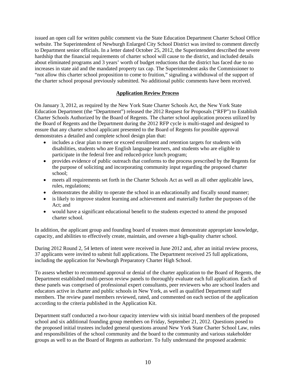issued an open call for written public comment via the State Education Department Charter School Office website. The Superintendent of Newburgh Enlarged City School District was invited to comment directly to Department senior officials. In a letter dated October 25, 2012, the Superintendent described the severe hardship that the financial requirements of charter school will cause to the district, and included details about eliminated programs and 3 years' worth of budget reductions that the district has faced due to no increases in state aid and the mandated property tax cap. The Superintendent asks the Commissioner to "not allow this charter school proposition to come to fruition," signaling a withdrawal of the support of the charter school proposal previously submitted. No additional public comments have been received.

#### **Application Review Process**

On January 3, 2012, as required by the New York State Charter Schools Act, the New York State Education Department (the "Department") released the 2012 Request for Proposals ("RFP") to Establish Charter Schools Authorized by the Board of Regents. The charter school application process utilized by the Board of Regents and the Department during the 2012 RFP cycle is multi-staged and designed to ensure that any charter school applicant presented to the Board of Regents for possible approval demonstrates a detailed and complete school design plan that:

- includes a clear plan to meet or exceed enrollment and retention targets for students with disabilities, students who are English language learners, and students who are eligible to participate in the federal free and reduced-price lunch program;
- provides evidence of public outreach that conforms to the process prescribed by the Regents for the purpose of soliciting and incorporating community input regarding the proposed charter school;
- meets all requirements set forth in the Charter Schools Act as well as all other applicable laws, rules, regulations;
- demonstrates the ability to operate the school in an educationally and fiscally sound manner;
- is likely to improve student learning and achievement and materially further the purposes of the Act; and
- would have a significant educational benefit to the students expected to attend the proposed charter school.

In addition, the applicant group and founding board of trustees must demonstrate appropriate knowledge, capacity, and abilities to effectively create, maintain, and oversee a high-quality charter school.

During 2012 Round 2, 54 letters of intent were received in June 2012 and, after an initial review process, 37 applicants were invited to submit full applications. The Department received 25 full applications, including the application for Newburgh Preparatory Charter High School.

To assess whether to recommend approval or denial of the charter application to the Board of Regents, the Department established multi-person review panels to thoroughly evaluate each full application. Each of these panels was comprised of professional expert consultants, peer reviewers who are school leaders and educators active in charter and public schools in New York, as well as qualified Department staff members. The review panel members reviewed, rated, and commented on each section of the application according to the criteria published in the Application Kit.

Department staff conducted a two-hour capacity interview with six initial board members of the proposed school and six additional founding group members on Friday, September 21, 2012. Questions posed to the proposed initial trustees included general questions around New York State Charter School Law, roles and responsibilities of the school community and the board to the community and various stakeholder groups as well to as the Board of Regents as authorizer. To fully understand the proposed academic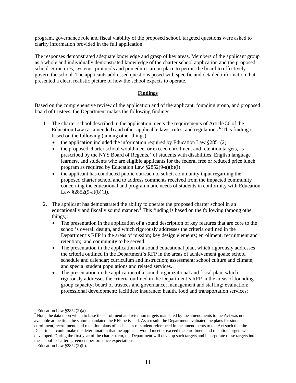program, governance role and fiscal viability of the proposed school, targeted questions were asked to clarify information provided in the full application.

The responses demonstrated adequate knowledge and grasp of key areas. Members of the applicant group as a whole and individually demonstrated knowledge of the charter school application and the proposed school. Structures, systems, protocols and procedures are in place to permit the board to effectively govern the school. The applicants addressed questions posed with specific and detailed information that presented a clear, realistic picture of how the school expects to operate.

#### **Findings**

Based on the comprehensive review of the application and of the applicant, founding group, and proposed board of trustees, the Department makes the following findings:

- 1. The charter school described in the application meets the requirements of Article 56 of the Education Law (as amended) and other applicable laws, rules, and regulations.<sup>[6](#page-11-0)</sup> This finding is based on the following (among other things):
	- the application included the information required by Education Law  $§2851(2)$
	- the proposed charter school would meet or exceed enrollment and retention targets, as prescribed by the NYS Board of Regents,<sup>[7](#page-11-1)</sup> of students with disabilities, English language learners, and students who are eligible applicants for the federal free or reduced price lunch program as required by Education Law §2852(9-a)(b)(i)
	- the applicant has conducted public outreach to solicit community input regarding the proposed charter school and to address comments received from the impacted community concerning the educational and programmatic needs of students in conformity with Education Law  $§2852(9-a)(b)(ii)$ .
- 2. The applicant has demonstrated the ability to operate the proposed charter school in an educationally and fiscally sound manner.<sup>[8](#page-11-2)</sup> This finding is based on the following (among other things):
	- The presentation in the application of a sound description of key features that are core to the school's overall design, and which rigorously addresses the criteria outlined in the Department's RFP in the areas of mission; key design elements; enrollment, recruitment and retention;, and community to be served.
	- The presentation in the application of a sound educational plan, which rigorously addresses the criteria outlined in the Department's RFP in the areas of achievement goals; school schedule and calendar; curriculum and instruction; assessment; school culture and climate; and special student populations and related services.
	- The presentation in the application of a sound organizational and fiscal plan, which rigorously addresses the criteria outlined in the Department's RFP in the areas of founding group capacity; board of trustees and governance; management and staffing; evaluation; professional development; facilities; insurance; health, food and transportation services;

 $^6$  Education Law §2852(2)(a).

<span id="page-11-1"></span><span id="page-11-0"></span> $<sup>7</sup>$  Note, the data upon which to base the enrollment and retention targets mandated by the amendments to the Act was not</sup> available at the time the statute mandated the RFP be issued. As a result, the Department evaluated the plans for student enrollment, recruitment, and retention plans of each class of student referenced in the amendments to the Act such that the Department could make the determination that the applicant would meet or exceed the enrollment and retention targets when developed. During the first year of the charter term, the Department will develop such targets and incorporate these targets into the school's charter agreement performance expectations.

<span id="page-11-2"></span> $8$  Education Law  $\S 2852(2)(b)$ .